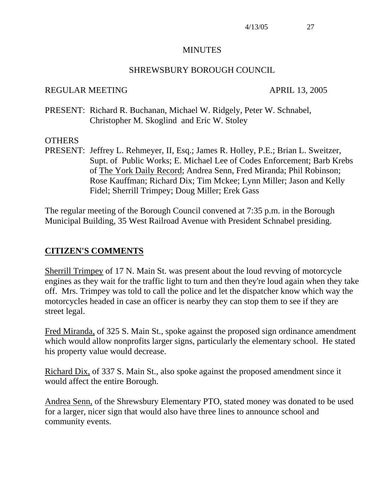#### MINUTES

#### SHREWSBURY BOROUGH COUNCIL

#### REGULAR MEETING APRIL 13, 2005

PRESENT: Richard R. Buchanan, Michael W. Ridgely, Peter W. Schnabel, Christopher M. Skoglind and Eric W. Stoley

#### **OTHERS**

PRESENT: Jeffrey L. Rehmeyer, II, Esq.; James R. Holley, P.E.; Brian L. Sweitzer, Supt. of Public Works; E. Michael Lee of Codes Enforcement; Barb Krebs of The York Daily Record; Andrea Senn, Fred Miranda; Phil Robinson; Rose Kauffman; Richard Dix; Tim Mckee; Lynn Miller; Jason and Kelly Fidel; Sherrill Trimpey; Doug Miller; Erek Gass

The regular meeting of the Borough Council convened at 7:35 p.m. in the Borough Municipal Building, 35 West Railroad Avenue with President Schnabel presiding.

#### **CITIZEN'S COMMENTS**

Sherrill Trimpey of 17 N. Main St. was present about the loud revving of motorcycle engines as they wait for the traffic light to turn and then they're loud again when they take off. Mrs. Trimpey was told to call the police and let the dispatcher know which way the motorcycles headed in case an officer is nearby they can stop them to see if they are street legal.

Fred Miranda, of 325 S. Main St., spoke against the proposed sign ordinance amendment which would allow nonprofits larger signs, particularly the elementary school. He stated his property value would decrease.

Richard Dix, of 337 S. Main St., also spoke against the proposed amendment since it would affect the entire Borough.

Andrea Senn, of the Shrewsbury Elementary PTO, stated money was donated to be used for a larger, nicer sign that would also have three lines to announce school and community events.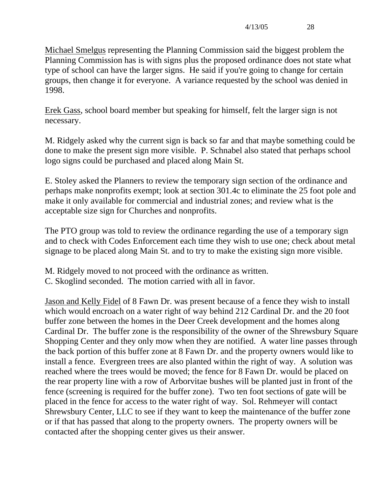Michael Smelgus representing the Planning Commission said the biggest problem the Planning Commission has is with signs plus the proposed ordinance does not state what type of school can have the larger signs. He said if you're going to change for certain groups, then change it for everyone. A variance requested by the school was denied in 1998.

Erek Gass, school board member but speaking for himself, felt the larger sign is not necessary.

M. Ridgely asked why the current sign is back so far and that maybe something could be done to make the present sign more visible. P. Schnabel also stated that perhaps school logo signs could be purchased and placed along Main St.

E. Stoley asked the Planners to review the temporary sign section of the ordinance and perhaps make nonprofits exempt; look at section 301.4c to eliminate the 25 foot pole and make it only available for commercial and industrial zones; and review what is the acceptable size sign for Churches and nonprofits.

The PTO group was told to review the ordinance regarding the use of a temporary sign and to check with Codes Enforcement each time they wish to use one; check about metal signage to be placed along Main St. and to try to make the existing sign more visible.

M. Ridgely moved to not proceed with the ordinance as written. C. Skoglind seconded. The motion carried with all in favor.

Jason and Kelly Fidel of 8 Fawn Dr. was present because of a fence they wish to install which would encroach on a water right of way behind 212 Cardinal Dr. and the 20 foot buffer zone between the homes in the Deer Creek development and the homes along Cardinal Dr. The buffer zone is the responsibility of the owner of the Shrewsbury Square Shopping Center and they only mow when they are notified. A water line passes through the back portion of this buffer zone at 8 Fawn Dr. and the property owners would like to install a fence. Evergreen trees are also planted within the right of way. A solution was reached where the trees would be moved; the fence for 8 Fawn Dr. would be placed on the rear property line with a row of Arborvitae bushes will be planted just in front of the fence (screening is required for the buffer zone). Two ten foot sections of gate will be placed in the fence for access to the water right of way. Sol. Rehmeyer will contact Shrewsbury Center, LLC to see if they want to keep the maintenance of the buffer zone or if that has passed that along to the property owners. The property owners will be contacted after the shopping center gives us their answer.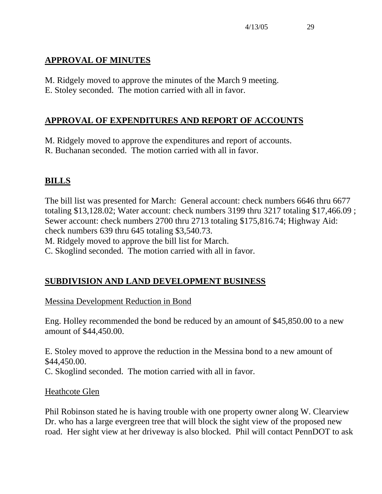## **APPROVAL OF MINUTES**

M. Ridgely moved to approve the minutes of the March 9 meeting. E. Stoley seconded. The motion carried with all in favor.

## **APPROVAL OF EXPENDITURES AND REPORT OF ACCOUNTS**

M. Ridgely moved to approve the expenditures and report of accounts.

R. Buchanan seconded. The motion carried with all in favor.

## **BILLS**

The bill list was presented for March: General account: check numbers 6646 thru 6677 totaling \$13,128.02; Water account: check numbers 3199 thru 3217 totaling \$17,466.09 ; Sewer account: check numbers 2700 thru 2713 totaling \$175,816.74; Highway Aid: check numbers 639 thru 645 totaling \$3,540.73.

M. Ridgely moved to approve the bill list for March.

C. Skoglind seconded. The motion carried with all in favor.

## **SUBDIVISION AND LAND DEVELOPMENT BUSINESS**

Messina Development Reduction in Bond

Eng. Holley recommended the bond be reduced by an amount of \$45,850.00 to a new amount of \$44,450.00.

E. Stoley moved to approve the reduction in the Messina bond to a new amount of \$44,450.00. C. Skoglind seconded. The motion carried with all in favor.

## Heathcote Glen

Phil Robinson stated he is having trouble with one property owner along W. Clearview Dr. who has a large evergreen tree that will block the sight view of the proposed new road. Her sight view at her driveway is also blocked. Phil will contact PennDOT to ask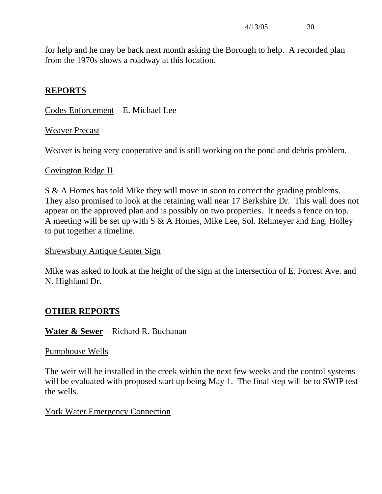for help and he may be back next month asking the Borough to help. A recorded plan from the 1970s shows a roadway at this location.

## **REPORTS**

Codes Enforcement – E. Michael Lee

#### Weaver Precast

Weaver is being very cooperative and is still working on the pond and debris problem.

#### Covington Ridge II

S & A Homes has told Mike they will move in soon to correct the grading problems. They also promised to look at the retaining wall near 17 Berkshire Dr. This wall does not appear on the approved plan and is possibly on two properties. It needs a fence on top. A meeting will be set up with S & A Homes, Mike Lee, Sol. Rehmeyer and Eng. Holley to put together a timeline.

#### Shrewsbury Antique Center Sign

Mike was asked to look at the height of the sign at the intersection of E. Forrest Ave. and N. Highland Dr.

## **OTHER REPORTS**

**Water & Sewer** – Richard R. Buchanan

#### Pumphouse Wells

The weir will be installed in the creek within the next few weeks and the control systems will be evaluated with proposed start up being May 1. The final step will be to SWIP test the wells.

#### York Water Emergency Connection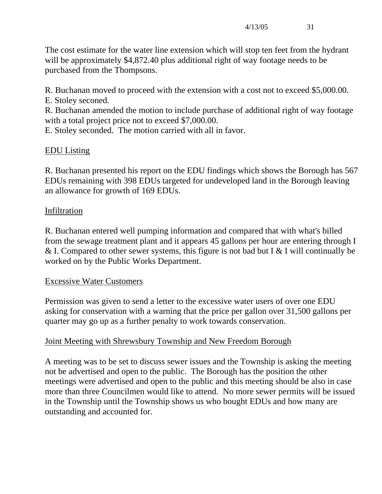The cost estimate for the water line extension which will stop ten feet from the hydrant will be approximately \$4,872.40 plus additional right of way footage needs to be purchased from the Thompsons.

R. Buchanan moved to proceed with the extension with a cost not to exceed \$5,000.00.

E. Stoley seconed.

R. Buchanan amended the motion to include purchase of additional right of way footage with a total project price not to exceed \$7,000.00.

E. Stoley seconded. The motion carried with all in favor.

## EDU Listing

R. Buchanan presented his report on the EDU findings which shows the Borough has 567 EDUs remaining with 398 EDUs targeted for undeveloped land in the Borough leaving an allowance for growth of 169 EDUs.

## **Infiltration**

R. Buchanan entered well pumping information and compared that with what's billed from the sewage treatment plant and it appears 45 gallons per hour are entering through I & I. Compared to other sewer systems, this figure is not bad but I & I will continually be worked on by the Public Works Department.

## Excessive Water Customers

Permission was given to send a letter to the excessive water users of over one EDU asking for conservation with a warning that the price per gallon over 31,500 gallons per quarter may go up as a further penalty to work towards conservation.

## Joint Meeting with Shrewsbury Township and New Freedom Borough

A meeting was to be set to discuss sewer issues and the Township is asking the meeting not be advertised and open to the public. The Borough has the position the other meetings were advertised and open to the public and this meeting should be also in case more than three Councilmen would like to attend. No more sewer permits will be issued in the Township until the Township shows us who bought EDUs and how many are outstanding and accounted for.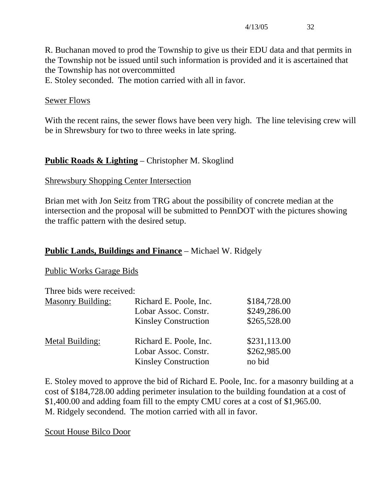R. Buchanan moved to prod the Township to give us their EDU data and that permits in the Township not be issued until such information is provided and it is ascertained that the Township has not overcommitted

E. Stoley seconded. The motion carried with all in favor.

#### Sewer Flows

With the recent rains, the sewer flows have been very high. The line televising crew will be in Shrewsbury for two to three weeks in late spring.

### **Public Roads & Lighting** – Christopher M. Skoglind

#### Shrewsbury Shopping Center Intersection

Brian met with Jon Seitz from TRG about the possibility of concrete median at the intersection and the proposal will be submitted to PennDOT with the pictures showing the traffic pattern with the desired setup.

#### **Public Lands, Buildings and Finance** – Michael W. Ridgely

#### Public Works Garage Bids

Three bids were received:

| <b>Masonry Building:</b> | Richard E. Poole, Inc.<br>Lobar Assoc. Constr.<br><b>Kinsley Construction</b> | \$184,728.00<br>\$249,286.00<br>\$265,528.00 |
|--------------------------|-------------------------------------------------------------------------------|----------------------------------------------|
| Metal Building:          | Richard E. Poole, Inc.<br>Lobar Assoc. Constr.<br><b>Kinsley Construction</b> | \$231,113.00<br>\$262,985.00<br>no bid       |

E. Stoley moved to approve the bid of Richard E. Poole, Inc. for a masonry building at a cost of \$184,728.00 adding perimeter insulation to the building foundation at a cost of \$1,400.00 and adding foam fill to the empty CMU cores at a cost of \$1,965.00. M. Ridgely secondend. The motion carried with all in favor.

Scout House Bilco Door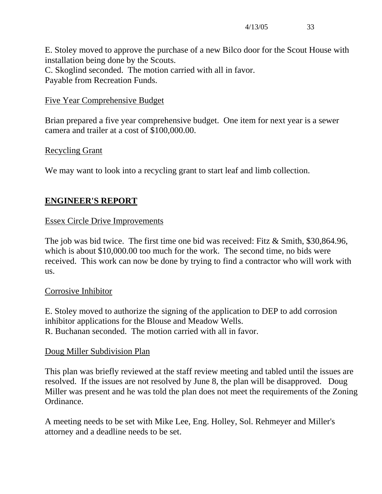E. Stoley moved to approve the purchase of a new Bilco door for the Scout House with installation being done by the Scouts. C. Skoglind seconded. The motion carried with all in favor. Payable from Recreation Funds.

#### Five Year Comprehensive Budget

Brian prepared a five year comprehensive budget. One item for next year is a sewer camera and trailer at a cost of \$100,000.00.

#### Recycling Grant

We may want to look into a recycling grant to start leaf and limb collection.

## **ENGINEER'S REPORT**

#### Essex Circle Drive Improvements

The job was bid twice. The first time one bid was received: Fitz & Smith, \$30,864.96, which is about \$10,000.00 too much for the work. The second time, no bids were received. This work can now be done by trying to find a contractor who will work with us.

#### Corrosive Inhibitor

E. Stoley moved to authorize the signing of the application to DEP to add corrosion inhibitor applications for the Blouse and Meadow Wells. R. Buchanan seconded. The motion carried with all in favor.

#### Doug Miller Subdivision Plan

This plan was briefly reviewed at the staff review meeting and tabled until the issues are resolved. If the issues are not resolved by June 8, the plan will be disapproved. Doug Miller was present and he was told the plan does not meet the requirements of the Zoning Ordinance.

A meeting needs to be set with Mike Lee, Eng. Holley, Sol. Rehmeyer and Miller's attorney and a deadline needs to be set.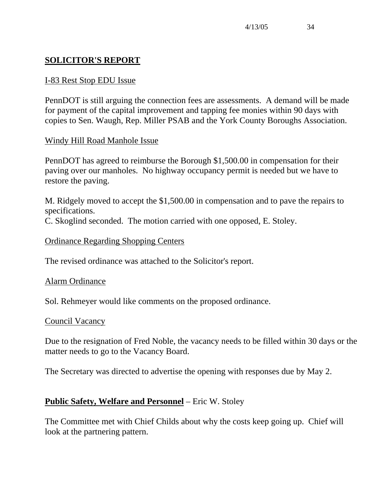## **SOLICITOR'S REPORT**

#### I-83 Rest Stop EDU Issue

PennDOT is still arguing the connection fees are assessments. A demand will be made for payment of the capital improvement and tapping fee monies within 90 days with copies to Sen. Waugh, Rep. Miller PSAB and the York County Boroughs Association.

### Windy Hill Road Manhole Issue

PennDOT has agreed to reimburse the Borough \$1,500.00 in compensation for their paving over our manholes. No highway occupancy permit is needed but we have to restore the paving.

M. Ridgely moved to accept the \$1,500.00 in compensation and to pave the repairs to specifications.

C. Skoglind seconded. The motion carried with one opposed, E. Stoley.

#### Ordinance Regarding Shopping Centers

The revised ordinance was attached to the Solicitor's report.

#### Alarm Ordinance

Sol. Rehmeyer would like comments on the proposed ordinance.

#### Council Vacancy

Due to the resignation of Fred Noble, the vacancy needs to be filled within 30 days or the matter needs to go to the Vacancy Board.

The Secretary was directed to advertise the opening with responses due by May 2.

## **Public Safety, Welfare and Personnel** – Eric W. Stoley

The Committee met with Chief Childs about why the costs keep going up. Chief will look at the partnering pattern.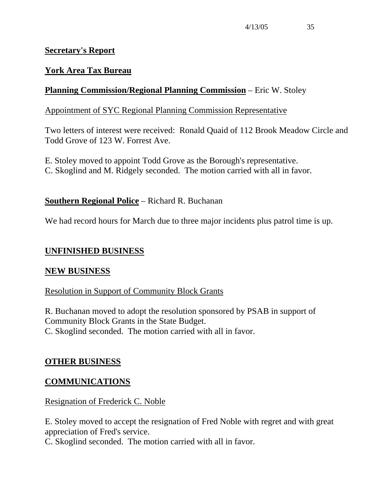#### **Secretary's Report**

## **York Area Tax Bureau**

## **Planning Commission/Regional Planning Commission** – Eric W. Stoley

#### Appointment of SYC Regional Planning Commission Representative

Two letters of interest were received: Ronald Quaid of 112 Brook Meadow Circle and Todd Grove of 123 W. Forrest Ave.

E. Stoley moved to appoint Todd Grove as the Borough's representative. C. Skoglind and M. Ridgely seconded. The motion carried with all in favor.

#### **Southern Regional Police** – Richard R. Buchanan

We had record hours for March due to three major incidents plus patrol time is up.

#### **UNFINISHED BUSINESS**

#### **NEW BUSINESS**

#### Resolution in Support of Community Block Grants

R. Buchanan moved to adopt the resolution sponsored by PSAB in support of Community Block Grants in the State Budget. C. Skoglind seconded. The motion carried with all in favor.

#### **OTHER BUSINESS**

#### **COMMUNICATIONS**

#### Resignation of Frederick C. Noble

E. Stoley moved to accept the resignation of Fred Noble with regret and with great appreciation of Fred's service.

C. Skoglind seconded. The motion carried with all in favor.